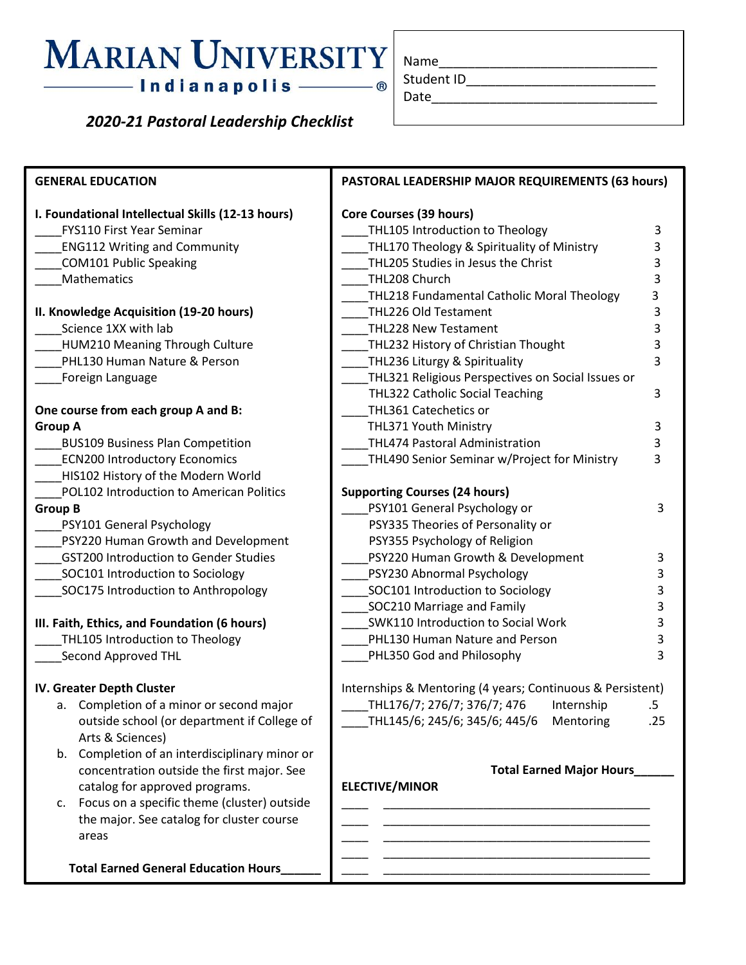# —— Indianapolis ——

## *2020-21 Pastoral Leadership Checklist*

| Name       |  |  |
|------------|--|--|
| Student ID |  |  |
| Date       |  |  |

**GENERAL EDUCATION I. Foundational Intellectual Skills (12-13 hours)** \_\_\_\_FYS110 First Year Seminar \_\_\_\_ENG112 Writing and Community \_\_\_\_COM101 Public Speaking \_\_\_\_Mathematics **II. Knowledge Acquisition (19-20 hours)** Science 1XX with lab HUM210 Meaning Through Culture PHL130 Human Nature & Person \_\_\_\_Foreign Language **One course from each group A and B: Group A** \_\_\_\_BUS109 Business Plan Competition ECN200 Introductory Economics HIS102 History of the Modern World \_\_\_\_POL102 Introduction to American Politics **Group B** \_\_\_\_PSY101 General Psychology \_\_\_\_PSY220 Human Growth and Development \_\_\_\_GST200 Introduction to Gender Studies SOC101 Introduction to Sociology \_\_\_\_SOC175 Introduction to Anthropology **III. Faith, Ethics, and Foundation (6 hours)** THL105 Introduction to Theology \_\_\_\_Second Approved THL **IV. Greater Depth Cluster** a. Completion of a minor or second major outside school (or department if College of Arts & Sciences) b. Completion of an interdisciplinary minor or concentration outside the first major. See catalog for approved programs. c. Focus on a specific theme (cluster) outside the major. See catalog for cluster course areas  **Total Earned General Education Hours\_\_\_\_\_\_ PASTORAL LEADERSHIP MAJOR REQUIREMENTS (63 hours) Core Courses (39 hours)** THL105 Introduction to Theology 3 THL170 Theology & Spirituality of Ministry 3 \_\_\_\_THL205 Studies in Jesus the Christ 3 THL208 Church 3 \_THL218 Fundamental Catholic Moral Theology 3 \_\_\_\_THL226 Old Testament 3 THL228 New Testament 3 \_\_\_\_THL232 History of Christian Thought 3 \_\_\_\_THL236 Liturgy & Spirituality 3 \_\_\_\_THL321 Religious Perspectives on Social Issues or THL322 Catholic Social Teaching 3 \_\_\_\_THL361 Catechetics or THL371 Youth Ministry 3 THL474 Pastoral Administration 3 THL490 Senior Seminar w/Project for Ministry 3 **Supporting Courses (24 hours)** PSY101 General Psychology or 3 PSY335 Theories of Personality or PSY355 Psychology of Religion PSY220 Human Growth & Development 3 PSY230 Abnormal Psychology 3 \_\_\_\_SOC101 Introduction to Sociology 3 \_\_\_\_SOC210 Marriage and Family 3 \_\_\_\_SWK110 Introduction to Social Work 3 PHL130 Human Nature and Person 3 PHL350 God and Philosophy 3 Internships & Mentoring (4 years; Continuous & Persistent) \_\_\_\_THL176/7; 276/7; 376/7; 476 Internship .5 \_\_\_\_THL145/6; 245/6; 345/6; 445/6 Mentoring .25 **Total Earned Major Hours\_\_\_\_\_\_ ELECTIVE/MINOR** \_\_\_\_ \_\_\_\_\_\_\_\_\_\_\_\_\_\_\_\_\_\_\_\_\_\_\_\_\_\_\_\_\_\_\_\_\_\_\_\_\_\_\_\_ \_\_\_\_ \_\_\_\_\_\_\_\_\_\_\_\_\_\_\_\_\_\_\_\_\_\_\_\_\_\_\_\_\_\_\_\_\_\_\_\_\_\_\_\_ \_\_\_\_ \_\_\_\_\_\_\_\_\_\_\_\_\_\_\_\_\_\_\_\_\_\_\_\_\_\_\_\_\_\_\_\_\_\_\_\_\_\_\_\_ \_\_\_\_ \_\_\_\_\_\_\_\_\_\_\_\_\_\_\_\_\_\_\_\_\_\_\_\_\_\_\_\_\_\_\_\_\_\_\_\_\_\_\_\_ \_\_\_\_ \_\_\_\_\_\_\_\_\_\_\_\_\_\_\_\_\_\_\_\_\_\_\_\_\_\_\_\_\_\_\_\_\_\_\_\_\_\_\_\_

ֺ